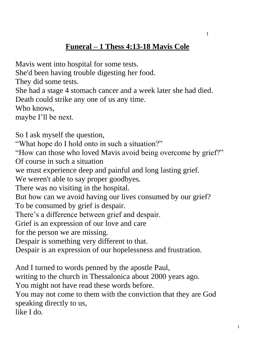## **Funeral – 1 Thess 4:13-18 Mavis Cole**

Mavis went into hospital for some tests. She'd been having trouble digesting her food. They did some tests. She had a stage 4 stomach cancer and a week later she had died. Death could strike any one of us any time. Who knows, maybe I'll be next. So I ask myself the question, "What hope do I hold onto in such a situation?" "How can those who loved Mavis avoid being overcome by grief?" Of course in such a situation we must experience deep and painful and long lasting grief. We weren't able to say proper goodbyes. There was no visiting in the hospital. But how can we avoid having our lives consumed by our grief? To be consumed by grief is despair. There's a difference between grief and despair. Grief is an expression of our love and care for the person we are missing. Despair is something very different to that. Despair is an expression of our hopelessness and frustration. And I turned to words penned by the apostle Paul, writing to the church in Thessalonica about 2000 years ago.

You might not have read these words before.

You may not come to them with the conviction that they are God speaking directly to us,

like I do.

1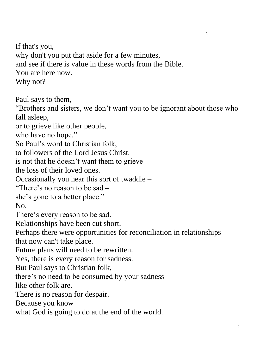If that's you, why don't you put that aside for a few minutes, and see if there is value in these words from the Bible. You are here now. Why not?

Paul says to them,

"Brothers and sisters, we don't want you to be ignorant about those who fall asleep,

or to grieve like other people,

who have no hope."

So Paul's word to Christian folk,

to followers of the Lord Jesus Christ,

is not that he doesn't want them to grieve

the loss of their loved ones.

Occasionally you hear this sort of twaddle –

"There's no reason to be sad –

she's gone to a better place."

No.

There's every reason to be sad.

Relationships have been cut short.

Perhaps there were opportunities for reconciliation in relationships that now can't take place.

Future plans will need to be rewritten.

Yes, there is every reason for sadness.

But Paul says to Christian folk,

there's no need to be consumed by your sadness

like other folk are.

There is no reason for despair.

Because you know

what God is going to do at the end of the world.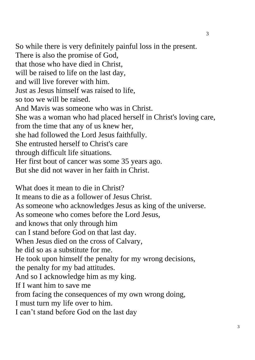So while there is very definitely painful loss in the present. There is also the promise of God, that those who have died in Christ, will be raised to life on the last day, and will live forever with him. Just as Jesus himself was raised to life, so too we will be raised. And Mavis was someone who was in Christ. She was a woman who had placed herself in Christ's loving care, from the time that any of us knew her, she had followed the Lord Jesus faithfully. She entrusted herself to Christ's care through difficult life situations. Her first bout of cancer was some 35 years ago. But she did not waver in her faith in Christ.

What does it mean to die in Christ? It means to die as a follower of Jesus Christ. As someone who acknowledges Jesus as king of the universe. As someone who comes before the Lord Jesus, and knows that only through him can I stand before God on that last day. When Jesus died on the cross of Calvary, he did so as a substitute for me. He took upon himself the penalty for my wrong decisions, the penalty for my bad attitudes. And so I acknowledge him as my king. If I want him to save me from facing the consequences of my own wrong doing, I must turn my life over to him. I can't stand before God on the last day

3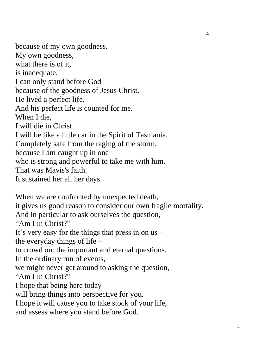because of my own goodness. My own goodness, what there is of it, is inadequate. I can only stand before God because of the goodness of Jesus Christ. He lived a perfect life. And his perfect life is counted for me. When I die, I will die in Christ. I will be like a little car in the Spirit of Tasmania. Completely safe from the raging of the storm, because I am caught up in one who is strong and powerful to take me with him. That was Mavis's faith. It sustained her all her days.

When we are confronted by unexpected death, it gives us good reason to consider our own fragile mortality. And in particular to ask ourselves the question, "Am I in Christ?" It's very easy for the things that press in on us – the everyday things of life – to crowd out the important and eternal questions. In the ordinary run of events, we might never get around to asking the question, "Am I in Christ?" I hope that being here today will bring things into perspective for you. I hope it will cause you to take stock of your life, and assess where you stand before God.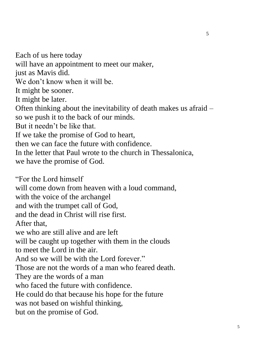Each of us here today will have an appointment to meet our maker, just as Mavis did. We don't know when it will be. It might be sooner. It might be later. Often thinking about the inevitability of death makes us afraid – so we push it to the back of our minds. But it needn't be like that. If we take the promise of God to heart, then we can face the future with confidence. In the letter that Paul wrote to the church in Thessalonica, we have the promise of God. "For the Lord himself will come down from heaven with a loud command, with the voice of the archangel

and with the trumpet call of God,

and the dead in Christ will rise first.

After that,

we who are still alive and are left

will be caught up together with them in the clouds

to meet the Lord in the air.

And so we will be with the Lord forever."

Those are not the words of a man who feared death.

They are the words of a man

who faced the future with confidence.

He could do that because his hope for the future

was not based on wishful thinking,

but on the promise of God.